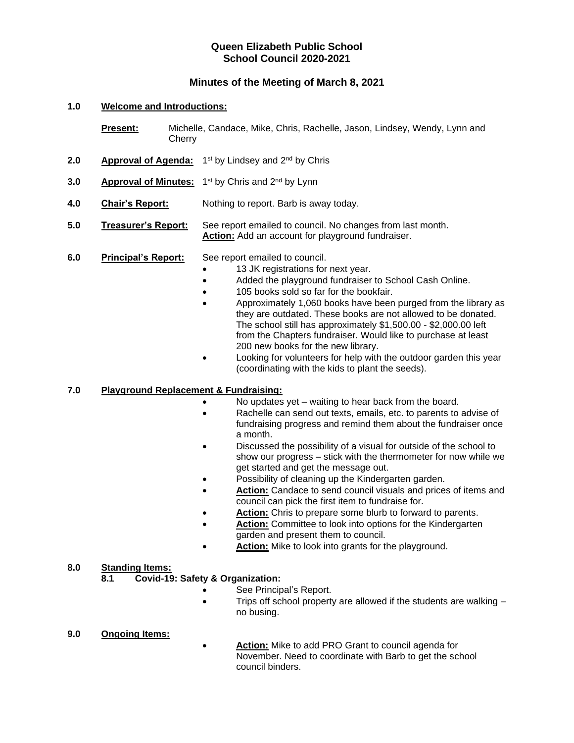## **Queen Elizabeth Public School School Council 2020-2021**

## **Minutes of the Meeting of March 8, 2021**

#### **1.0 Welcome and Introductions:**

- **Present:** Michelle, Candace, Mike, Chris, Rachelle, Jason, Lindsey, Wendy, Lynn and **Cherry**
- 2.0 **Approval of Agenda:** 1<sup>st</sup> by Lindsey and 2<sup>nd</sup> by Chris
- **3.0** •• **Approval of Minutes:** 1<sup>st</sup> by Chris and 2<sup>nd</sup> by Lynn
- **4.0 Chair's Report:** Nothing to report. Barb is away today.
- **5.0 Treasurer's Report:** See report emailed to council. No changes from last month. **Action:** Add an account for playground fundraiser.

#### **6.0 Principal's Report:** See report emailed to council.

- 13 JK registrations for next year.
- Added the playground fundraiser to School Cash Online.
- 105 books sold so far for the bookfair.
- Approximately 1,060 books have been purged from the library as they are outdated. These books are not allowed to be donated. The school still has approximately \$1,500.00 - \$2,000.00 left from the Chapters fundraiser. Would like to purchase at least 200 new books for the new library.
- Looking for volunteers for help with the outdoor garden this year (coordinating with the kids to plant the seeds).

#### **7.0 Playground Replacement & Fundraising:**

- No updates yet waiting to hear back from the board.
- Rachelle can send out texts, emails, etc. to parents to advise of fundraising progress and remind them about the fundraiser once a month.
- Discussed the possibility of a visual for outside of the school to show our progress – stick with the thermometer for now while we get started and get the message out.
- Possibility of cleaning up the Kindergarten garden.
- Action: Candace to send council visuals and prices of items and council can pick the first item to fundraise for.
- Action: Chris to prepare some blurb to forward to parents.
- **Action:** Committee to look into options for the Kindergarten garden and present them to council.
- Action: Mike to look into grants for the playground.

#### **8.0 Standing Items:**

### **8.1 Covid-19: Safety & Organization:**

- See Principal's Report.
- Trips off school property are allowed if the students are walking no busing.

#### **9.0 Ongoing Items:**

• **Action:** Mike to add PRO Grant to council agenda for November. Need to coordinate with Barb to get the school council binders.